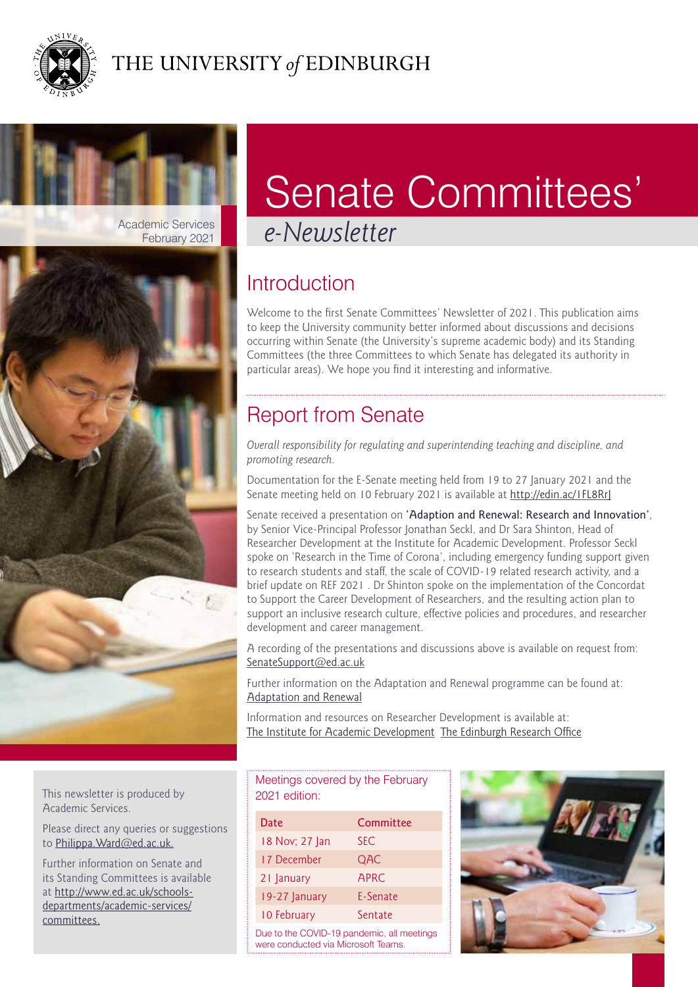



# Senate Committees'

## **Introduction**

Welcome to the first Senate Committees' Newsletter of 2021. This publication aims to keep the University community better informed about discussions and decisions occurring within Senate (the University's supreme academic body) and its Standing Committees (the three Committees to which Senate has delegated its authority in particular areas). We hope you find it interesting and informative.

## Report from Senate

*Overall responsibility for regulating and superintending teaching and discipline, and promoting research.*

Documentation for the E-Senate meeting held from 19 to 27 January 2021 and the Senate meeting held on 10 February 2021 is available at<http://edin.ac/1FL8RrJ>

Senate received a presentation on 'Adaption and Renewal: Research and Innovation', by Senior Vice-Principal Professor Jonathan Seckl, and Dr Sara Shinton, Head of Researcher Development at the Institute for Academic Development. Professor Seckl spoke on 'Research in the Time of Corona', including emergency funding support given to research students and staff, the scale of COVID-19 related research activity, and a brief update on REF 2021 . Dr Shinton spoke on the implementation of the Concordat to Support the Career Development of Researchers, and the resulting action plan to support an inclusive research culture, effective policies and procedures, and researcher development and career management.

A recording of the presentations and discussions above is available on request from: [SenateSupport@ed.ac.uk](mailto:SenateSupport@ed.ac.uk)

Further information on the Adaptation and Renewal programme can be found at: [Adaptation and Renewal](https://uoe.sharepoint.com/sites/ART)

Information and resources on Researcher Development is available at: [The Institute for Academic Development](https://www.ed.ac.uk/institute-academic-development/research-roles) [The Edinburgh Research Office](https://www.ed.ac.uk/research-office)

This newsletter is produced by Academic Services.

Please direct any queries or suggestions to [Philippa.Ward@ed.ac.uk.](mailto:Philippa.Ward@ed.ac.uk)

Further information on Senate and its Standing Committees is available at [http://www.ed.ac.uk/schools](http://www.ed.ac.uk/schools-departments/academic-services/committees)[departments/academic-services/](http://www.ed.ac.uk/schools-departments/academic-services/committees) [committees.](http://www.ed.ac.uk/schools-departments/academic-services/committees)

| Meetings covered by the February |
|----------------------------------|
| 2021 edition:                    |
|                                  |

| Date                                       | Committee   |
|--------------------------------------------|-------------|
| 18 Nov; 27 Jan                             | <b>SEC</b>  |
| 17 December                                | QAC         |
| 21 January                                 | <b>APRC</b> |
| 19-27 January                              | E-Senate    |
| 10 February                                | Sentate     |
| Due to the COVID-19 pandemic, all meetings |             |

were conducted via Microsoft Teams.

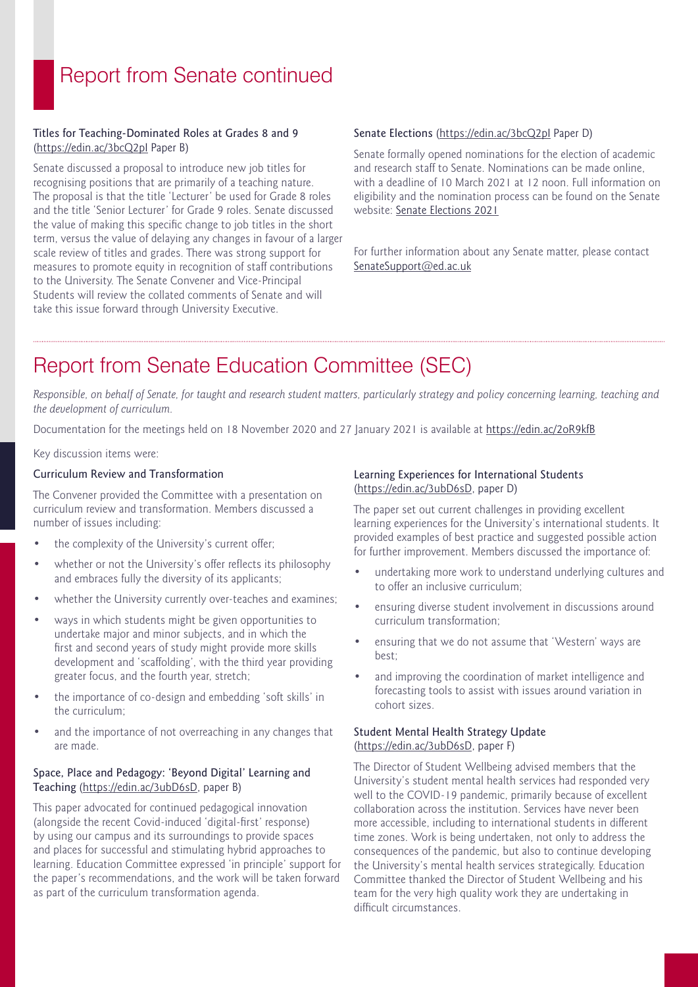### Report from Senate continued

#### Titles for Teaching-Dominated Roles at Grades 8 and 9 [\(https://edin.ac/3bcQ2pI](https://edin.ac/3bcQ2pI) Paper B)

Senate discussed a proposal to introduce new job titles for recognising positions that are primarily of a teaching nature. The proposal is that the title 'Lecturer' be used for Grade 8 roles and the title 'Senior Lecturer' for Grade 9 roles. Senate discussed the value of making this specific change to job titles in the short term, versus the value of delaying any changes in favour of a larger scale review of titles and grades. There was strong support for measures to promote equity in recognition of staff contributions to the University. The Senate Convener and Vice-Principal Students will review the collated comments of Senate and will take this issue forward through University Executive.

#### Senate Elections [\(https://edin.ac/3bcQ2pI](https://edin.ac/3bcQ2pI) Paper D)

Senate formally opened nominations for the election of academic and research staff to Senate. Nominations can be made online, with a deadline of 10 March 2021 at 12 noon. Full information on eligibility and the nomination process can be found on the Senate website: [Senate Elections 2021](https://www.ed.ac.uk/academic-services/committees/senate/senate-elections)

For further information about any Senate matter, please contact [SenateSupport@ed.ac.uk](mailto:SenateSupport@ed.ac.uk)

### Report from Senate Education Committee (SEC)

*Responsible, on behalf of Senate, for taught and research student matters, particularly strategy and policy concerning learning, teaching and the development of curriculum.*

Documentation for the meetings held on 18 November 2020 and 27 January 2021 is available at <https://edin.ac/2oR9kfB>

Key discussion items were:

#### Curriculum Review and Transformation

The Convener provided the Committee with a presentation on curriculum review and transformation. Members discussed a number of issues including:

- the complexity of the University's current offer;
- whether or not the University's offer reflects its philosophy and embraces fully the diversity of its applicants;
- whether the University currently over-teaches and examines:
- ways in which students might be given opportunities to undertake major and minor subjects, and in which the first and second years of study might provide more skills development and 'scaffolding', with the third year providing greater focus, and the fourth year, stretch;
- the importance of co-design and embedding 'soft skills' in the curriculum;
- and the importance of not overreaching in any changes that are made.

#### Space, Place and Pedagogy: 'Beyond Digital' Learning and Teaching (<https://edin.ac/3ubD6sD>, paper B)

This paper advocated for continued pedagogical innovation (alongside the recent Covid-induced 'digital-first' response) by using our campus and its surroundings to provide spaces and places for successful and stimulating hybrid approaches to learning. Education Committee expressed 'in principle' support for the paper's recommendations, and the work will be taken forward as part of the curriculum transformation agenda.

#### Learning Experiences for International Students ([https://edin.ac/3ubD6sD,](https://edin.ac/3ubD6sD) paper D)

The paper set out current challenges in providing excellent learning experiences for the University's international students. It provided examples of best practice and suggested possible action for further improvement. Members discussed the importance of:

- undertaking more work to understand underlying cultures and to offer an inclusive curriculum;
- ensuring diverse student involvement in discussions around curriculum transformation;
- ensuring that we do not assume that 'Western' ways are best;
- and improving the coordination of market intelligence and forecasting tools to assist with issues around variation in cohort sizes.

#### Student Mental Health Strategy Update ([https://edin.ac/3ubD6sD,](https://edin.ac/3ubD6sD) paper F)

The Director of Student Wellbeing advised members that the University's student mental health services had responded very well to the COVID-19 pandemic, primarily because of excellent collaboration across the institution. Services have never been more accessible, including to international students in different time zones. Work is being undertaken, not only to address the consequences of the pandemic, but also to continue developing the University's mental health services strategically. Education Committee thanked the Director of Student Wellbeing and his team for the very high quality work they are undertaking in difficult circumstances.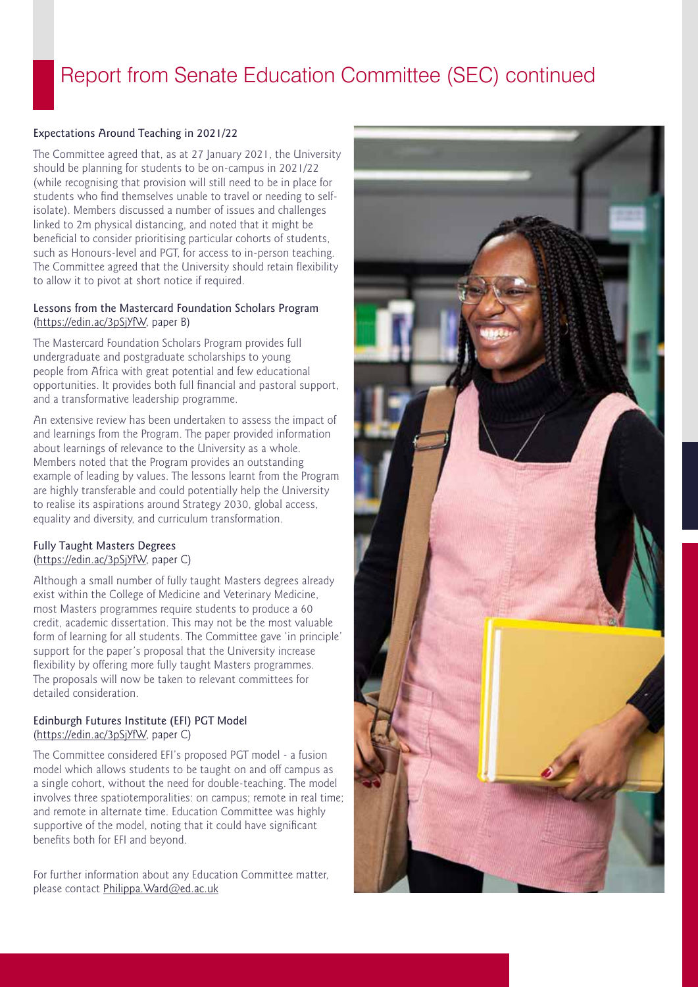### Report from Senate Education Committee (SEC) continued

#### Expectations Around Teaching in 2021/22

The Committee agreed that, as at 27 January 2021, the University should be planning for students to be on-campus in 2021/22 (while recognising that provision will still need to be in place for students who find themselves unable to travel or needing to selfisolate). Members discussed a number of issues and challenges linked to 2m physical distancing, and noted that it might be beneficial to consider prioritising particular cohorts of students, such as Honours-level and PGT, for access to in-person teaching. The Committee agreed that the University should retain flexibility to allow it to pivot at short notice if required.

#### Lessons from the Mastercard Foundation Scholars Program [\(https://edin.ac/3pSjYfW](https://edin.ac/3pSjYfW), paper B)

The Mastercard Foundation Scholars Program provides full undergraduate and postgraduate scholarships to young people from Africa with great potential and few educational opportunities. It provides both full financial and pastoral support, and a transformative leadership programme.

An extensive review has been undertaken to assess the impact of and learnings from the Program. The paper provided information about learnings of relevance to the University as a whole. Members noted that the Program provides an outstanding example of leading by values. The lessons learnt from the Program are highly transferable and could potentially help the University to realise its aspirations around Strategy 2030, global access, equality and diversity, and curriculum transformation.

#### Fully Taught Masters Degrees [\(https://edin.ac/3pSjYfW](https://edin.ac/3pSjYfW), paper C)

Although a small number of fully taught Masters degrees already exist within the College of Medicine and Veterinary Medicine, most Masters programmes require students to produce a 60 credit, academic dissertation. This may not be the most valuable form of learning for all students. The Committee gave 'in principle' support for the paper's proposal that the University increase flexibility by offering more fully taught Masters programmes. The proposals will now be taken to relevant committees for detailed consideration.

#### Edinburgh Futures Institute (EFI) PGT Model [\(https://edin.ac/3pSjYfW](https://edin.ac/3pSjYfW), paper C)

The Committee considered EFI's proposed PGT model - a fusion model which allows students to be taught on and off campus as a single cohort, without the need for double-teaching. The model involves three spatiotemporalities: on campus; remote in real time; and remote in alternate time. Education Committee was highly supportive of the model, noting that it could have significant benefits both for EFI and beyond.

For further information about any Education Committee matter, please contact [Philippa.Ward@ed.ac.uk](mailto:Philippa.Ward@ed.ac.uk)

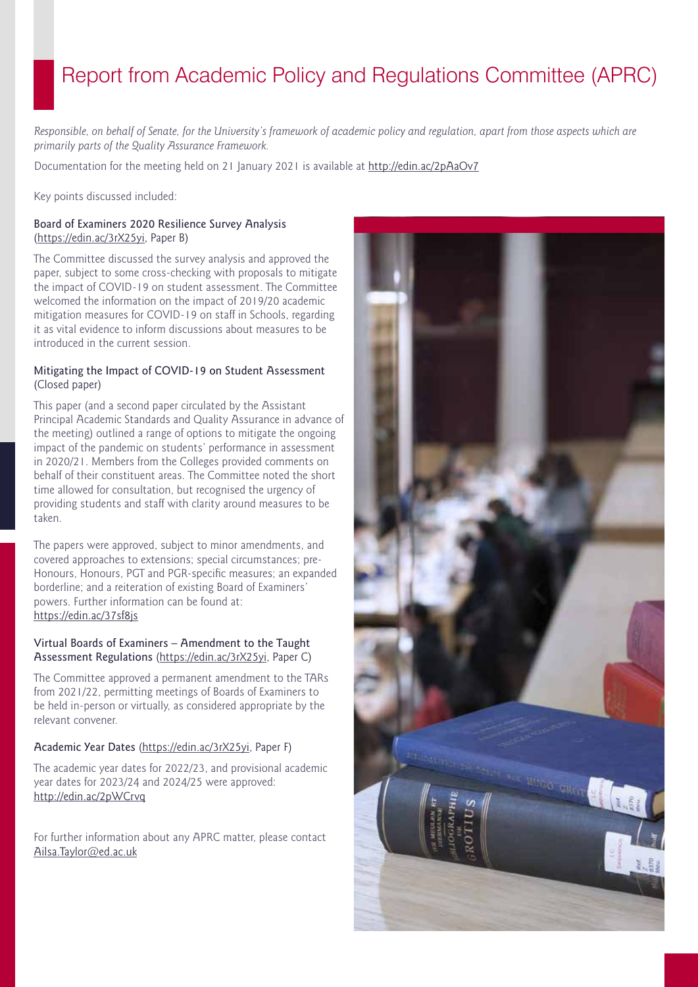### Report from Academic Policy and Regulations Committee (APRC)

*Responsible, on behalf of Senate, for the University's framework of academic policy and regulation, apart from those aspects which are primarily parts of the Quality Assurance Framework.* 

Documentation for the meeting held on 21 January 2021 is available at<http://edin.ac/2pAaOv7>

Key points discussed included:

#### Board of Examiners 2020 Resilience Survey Analysis (<https://edin.ac/3rX25yi>, Paper B)

The Committee discussed the survey analysis and approved the paper, subject to some cross-checking with proposals to mitigate the impact of COVID-19 on student assessment. The Committee welcomed the information on the impact of 2019/20 academic mitigation measures for COVID-19 on staff in Schools, regarding it as vital evidence to inform discussions about measures to be introduced in the current session.

#### Mitigating the Impact of COVID-19 on Student Assessment (Closed paper)

This paper (and a second paper circulated by the Assistant Principal Academic Standards and Quality Assurance in advance of the meeting) outlined a range of options to mitigate the ongoing impact of the pandemic on students' performance in assessment in 2020/21. Members from the Colleges provided comments on behalf of their constituent areas. The Committee noted the short time allowed for consultation, but recognised the urgency of providing students and staff with clarity around measures to be taken.

The papers were approved, subject to minor amendments, and covered approaches to extensions; special circumstances; pre-Honours, Honours, PGT and PGR-specific measures; an expanded borderline; and a reiteration of existing Board of Examiners' powers. Further information can be found at: <https://edin.ac/37sf8js>

#### Virtual Boards of Examiners – Amendment to the Taught Assessment Regulations [\(https://edin.ac/3rX25yi](https://edin.ac/3rX25yi), Paper C)

The Committee approved a permanent amendment to the TARs from 2021/22, permitting meetings of Boards of Examiners to be held in-person or virtually, as considered appropriate by the relevant convener.

#### Academic Year Dates [\(https://edin.ac/3rX25yi,](https://edin.ac/3rX25yi) Paper F)

The academic year dates for 2022/23, and provisional academic year dates for 2023/24 and 2024/25 were approved: <http://edin.ac/2pWCrvq>

For further information about any APRC matter, please contact [Ailsa.Taylor@ed.ac.uk](mailto:Ailsa.Taylor@ed.ac.uk)

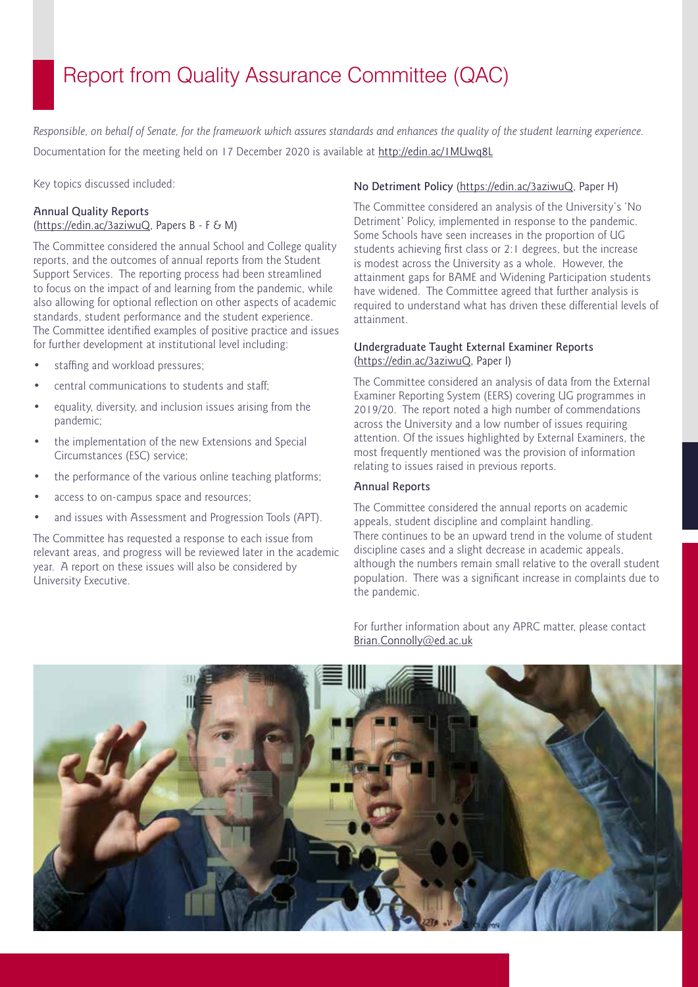## Report from Quality Assurance Committee (QAC)

*Responsible, on behalf of Senate, for the framework which assures standards and enhances the quality of the student learning experience.*  Documentation for the meeting held on 17 December 2020 is available at <http://edin.ac/1MUwq8L>

Key topics discussed included:

#### Annual Quality Reports [\(https://edin.ac/3aziwuQ,](https://edin.ac/3aziwuQ) Papers B - F & M)

The Committee considered the annual School and College quality reports, and the outcomes of annual reports from the Student Support Services. The reporting process had been streamlined to focus on the impact of and learning from the pandemic, while also allowing for optional reflection on other aspects of academic standards, student performance and the student experience. The Committee identified examples of positive practice and issues for further development at institutional level including:

- staffing and workload pressures;
- central communications to students and staff;
- equality, diversity, and inclusion issues arising from the pandemic;
- the implementation of the new Extensions and Special Circumstances (ESC) service;
- the performance of the various online teaching platforms;
- access to on-campus space and resources;
- and issues with Assessment and Progression Tools (APT).

The Committee has requested a response to each issue from relevant areas, and progress will be reviewed later in the academic year. A report on these issues will also be considered by University Executive.

#### No Detriment Policy [\(https://edin.ac/3aziwuQ,](https://edin.ac/3aziwuQ) Paper H)

The Committee considered an analysis of the University's 'No Detriment' Policy, implemented in response to the pandemic. Some Schools have seen increases in the proportion of UG students achieving first class or 2:1 degrees, but the increase is modest across the University as a whole. However, the attainment gaps for BAME and Widening Participation students have widened. The Committee agreed that further analysis is required to understand what has driven these differential levels of attainment.

#### Undergraduate Taught External Examiner Reports (<https://edin.ac/3aziwuQ>, Paper I)

The Committee considered an analysis of data from the External Examiner Reporting System (EERS) covering UG programmes in 2019/20. The report noted a high number of commendations across the University and a low number of issues requiring attention. Of the issues highlighted by External Examiners, the most frequently mentioned was the provision of information relating to issues raised in previous reports.

#### Annual Reports

The Committee considered the annual reports on academic appeals, student discipline and complaint handling. There continues to be an upward trend in the volume of student discipline cases and a slight decrease in academic appeals, although the numbers remain small relative to the overall student population. There was a significant increase in complaints due to the pandemic.

For further information about any APRC matter, please contact [Brian.Connolly@ed.ac.uk](mailto:Brian.Connolly%40ed.ac.uk?subject=)